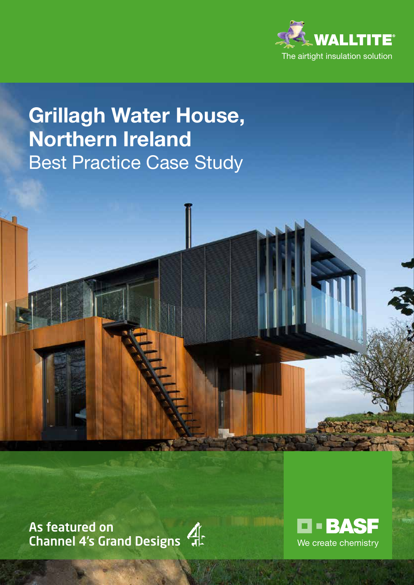

# **Grillagh Water House, Northern Ireland** Best Practice Case Study

As featured on Channel 4's Grand Designs